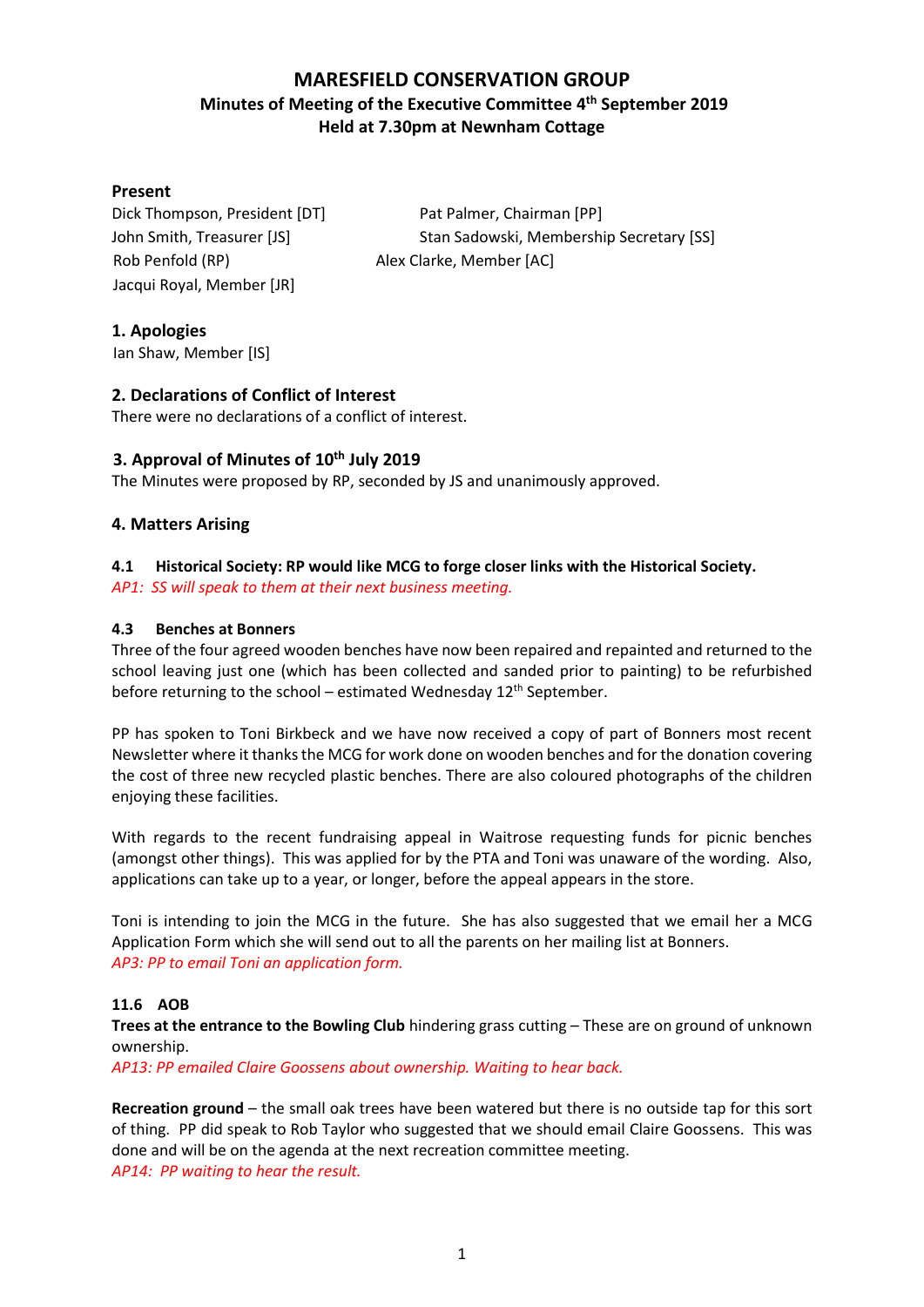# **MARESFIELD CONSERVATION GROUP Minutes of Meeting of the Executive Committee 4 th September 2019 Held at 7.30pm at Newnham Cottage**

### **Present**

Rob Penfold (RP) Alex Clarke, Member [AC] Jacqui Royal, Member [JR]

Dick Thompson, President [DT] Pat Palmer, Chairman [PP] John Smith, Treasurer [JS] Stan Sadowski, Membership Secretary [SS]

**1. Apologies**

Ian Shaw, Member [IS]

# **2. Declarations of Conflict of Interest**

There were no declarations of a conflict of interest.

# **3. Approval of Minutes of 10th July 2019**

The Minutes were proposed by RP, seconded by JS and unanimously approved.

# **4. Matters Arising**

### **4.1 Historical Society: RP would like MCG to forge closer links with the Historical Society.**

*AP1: SS will speak to them at their next business meeting.*

#### **4.3 Benches at Bonners**

Three of the four agreed wooden benches have now been repaired and repainted and returned to the school leaving just one (which has been collected and sanded prior to painting) to be refurbished before returning to the school – estimated Wednesday  $12<sup>th</sup>$  September.

PP has spoken to Toni Birkbeck and we have now received a copy of part of Bonners most recent Newsletter where it thanks the MCG for work done on wooden benches and for the donation covering the cost of three new recycled plastic benches. There are also coloured photographs of the children enjoying these facilities.

With regards to the recent fundraising appeal in Waitrose requesting funds for picnic benches (amongst other things). This was applied for by the PTA and Toni was unaware of the wording. Also, applications can take up to a year, or longer, before the appeal appears in the store.

Toni is intending to join the MCG in the future. She has also suggested that we email her a MCG Application Form which she will send out to all the parents on her mailing list at Bonners. *AP3: PP to email Toni an application form.*

#### **11.6 AOB**

**Trees at the entrance to the Bowling Club** hindering grass cutting – These are on ground of unknown ownership.

*AP13: PP emailed Claire Goossens about ownership. Waiting to hear back.*

**Recreation ground** – the small oak trees have been watered but there is no outside tap for this sort of thing. PP did speak to Rob Taylor who suggested that we should email Claire Goossens. This was done and will be on the agenda at the next recreation committee meeting. *AP14: PP waiting to hear the result.*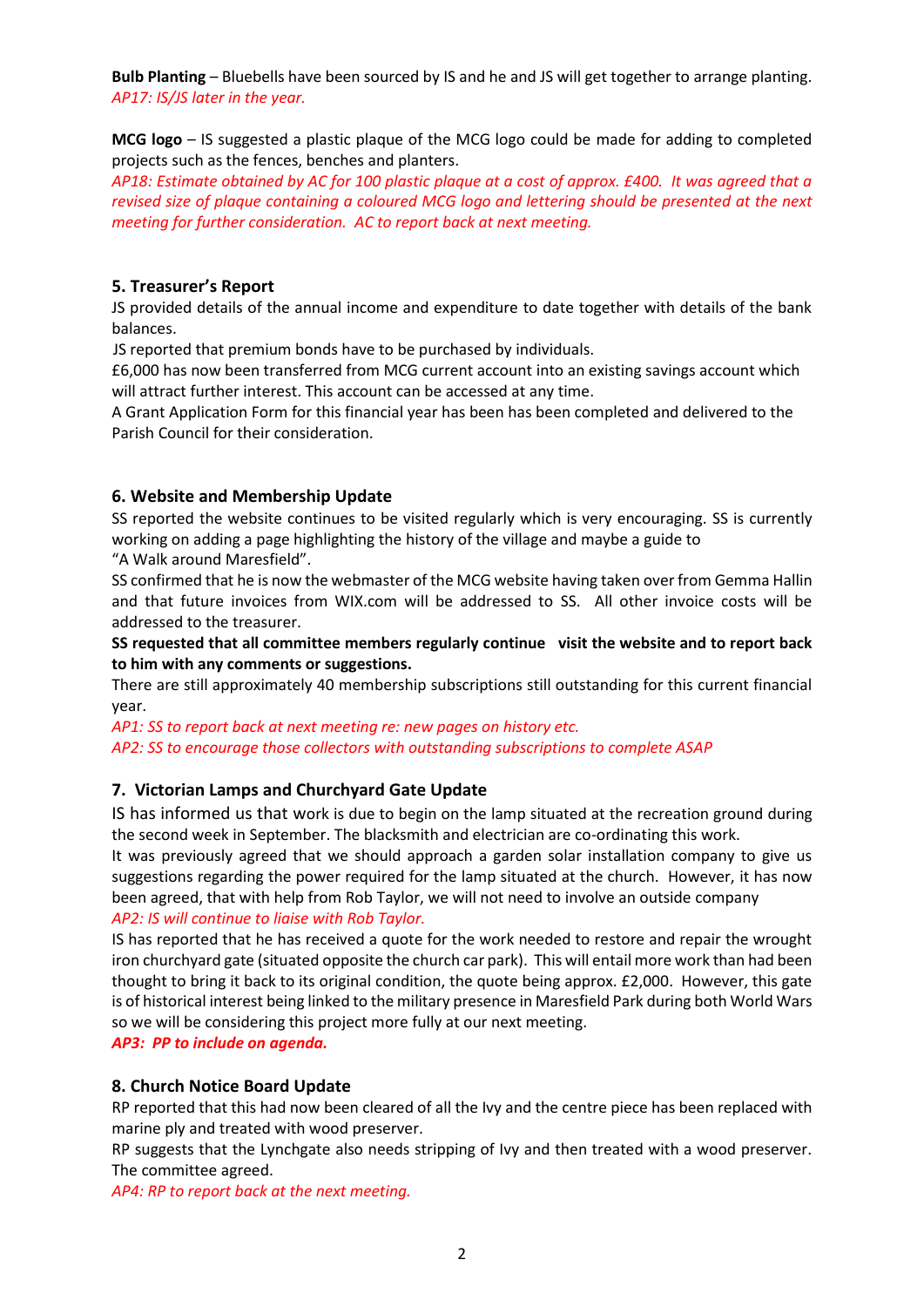**Bulb Planting** – Bluebells have been sourced by IS and he and JS will get together to arrange planting. *AP17: IS/JS later in the year.*

**MCG logo** – IS suggested a plastic plaque of the MCG logo could be made for adding to completed projects such as the fences, benches and planters.

*AP18: Estimate obtained by AC for 100 plastic plaque at a cost of approx. £400. It was agreed that a revised size of plaque containing a coloured MCG logo and lettering should be presented at the next meeting for further consideration. AC to report back at next meeting.*

# **5. Treasurer's Report**

JS provided details of the annual income and expenditure to date together with details of the bank balances.

JS reported that premium bonds have to be purchased by individuals.

£6,000 has now been transferred from MCG current account into an existing savings account which will attract further interest. This account can be accessed at any time.

A Grant Application Form for this financial year has been has been completed and delivered to the Parish Council for their consideration.

### **6. Website and Membership Update**

SS reported the website continues to be visited regularly which is very encouraging. SS is currently working on adding a page highlighting the history of the village and maybe a guide to

"A Walk around Maresfield".

SS confirmed that he is now the webmaster of the MCG website having taken over from Gemma Hallin and that future invoices from WIX.com will be addressed to SS. All other invoice costs will be addressed to the treasurer.

**SS requested that all committee members regularly continue visit the website and to report back to him with any comments or suggestions.**

There are still approximately 40 membership subscriptions still outstanding for this current financial year.

*AP1: SS to report back at next meeting re: new pages on history etc. AP2: SS to encourage those collectors with outstanding subscriptions to complete ASAP*

# **7. Victorian Lamps and Churchyard Gate Update**

IS has informed us that work is due to begin on the lamp situated at the recreation ground during the second week in September. The blacksmith and electrician are co-ordinating this work.

It was previously agreed that we should approach a garden solar installation company to give us suggestions regarding the power required for the lamp situated at the church. However, it has now been agreed, that with help from Rob Taylor, we will not need to involve an outside company *AP2: IS will continue to liaise with Rob Taylor.*

IS has reported that he has received a quote for the work needed to restore and repair the wrought iron churchyard gate (situated opposite the church car park). This will entail more work than had been thought to bring it back to its original condition, the quote being approx. £2,000. However, this gate is of historical interest being linked to the military presence in Maresfield Park during both World Wars so we will be considering this project more fully at our next meeting.

*AP3: PP to include on agenda.*

#### **8. Church Notice Board Update**

RP reported that this had now been cleared of all the Ivy and the centre piece has been replaced with marine ply and treated with wood preserver.

RP suggests that the Lynchgate also needs stripping of Ivy and then treated with a wood preserver. The committee agreed.

*AP4: RP to report back at the next meeting.*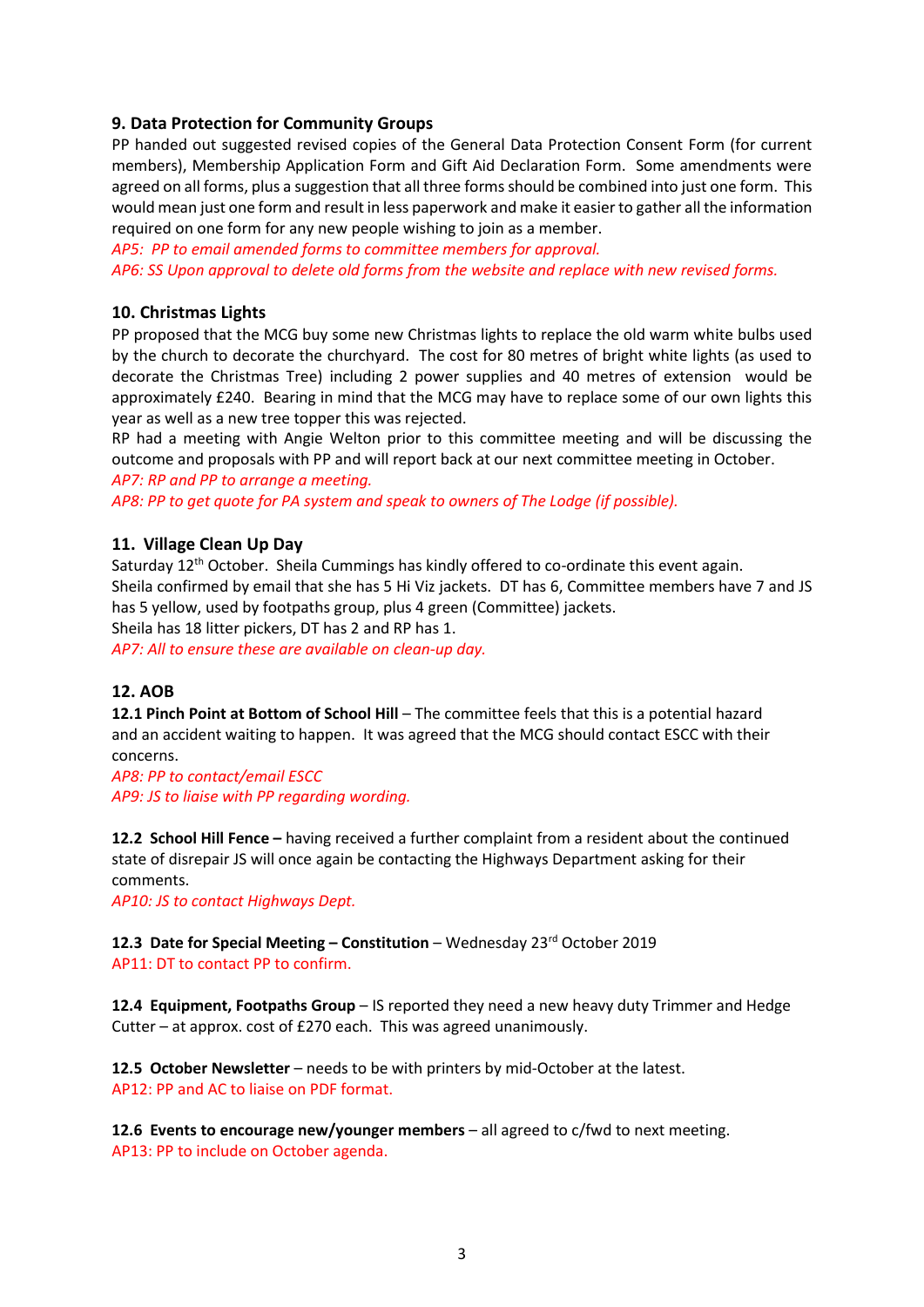# **9. Data Protection for Community Groups**

PP handed out suggested revised copies of the General Data Protection Consent Form (for current members), Membership Application Form and Gift Aid Declaration Form. Some amendments were agreed on all forms, plus a suggestion that all three forms should be combined into just one form. This would mean just one form and result in less paperwork and make it easier to gather all the information required on one form for any new people wishing to join as a member.

*AP5: PP to email amended forms to committee members for approval. AP6: SS Upon approval to delete old forms from the website and replace with new revised forms.*

#### **10. Christmas Lights**

PP proposed that the MCG buy some new Christmas lights to replace the old warm white bulbs used by the church to decorate the churchyard. The cost for 80 metres of bright white lights (as used to decorate the Christmas Tree) including 2 power supplies and 40 metres of extension would be approximately £240. Bearing in mind that the MCG may have to replace some of our own lights this year as well as a new tree topper this was rejected.

RP had a meeting with Angie Welton prior to this committee meeting and will be discussing the outcome and proposals with PP and will report back at our next committee meeting in October. *AP7: RP and PP to arrange a meeting.*

*AP8: PP to get quote for PA system and speak to owners of The Lodge (if possible).*

#### **11. Village Clean Up Day**

Saturday  $12<sup>th</sup>$  October. Sheila Cummings has kindly offered to co-ordinate this event again. Sheila confirmed by email that she has 5 Hi Viz jackets. DT has 6, Committee members have 7 and JS has 5 yellow, used by footpaths group, plus 4 green (Committee) jackets. Sheila has 18 litter pickers, DT has 2 and RP has 1.

*AP7: All to ensure these are available on clean-up day.* 

#### **12. AOB**

**12.1 Pinch Point at Bottom of School Hill** – The committee feels that this is a potential hazard and an accident waiting to happen. It was agreed that the MCG should contact ESCC with their concerns.

*AP8: PP to contact/email ESCC AP9: JS to liaise with PP regarding wording.*

**12.2 School Hill Fence –** having received a further complaint from a resident about the continued state of disrepair JS will once again be contacting the Highways Department asking for their comments.

*AP10: JS to contact Highways Dept.*

**12.3 Date for Special Meeting – Constitution** – Wednesday 23rd October 2019 AP11: DT to contact PP to confirm.

**12.4 Equipment, Footpaths Group** – IS reported they need a new heavy duty Trimmer and Hedge Cutter – at approx. cost of £270 each. This was agreed unanimously.

**12.5 October Newsletter** – needs to be with printers by mid-October at the latest. AP12: PP and AC to liaise on PDF format.

**12.6 Events to encourage new/younger members** – all agreed to c/fwd to next meeting. AP13: PP to include on October agenda.